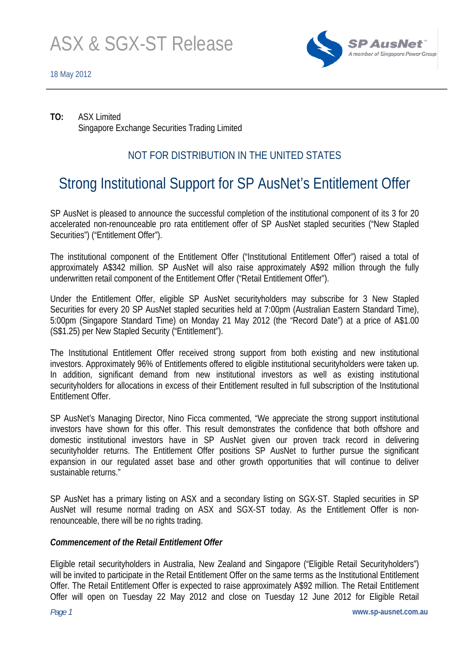

**TO:** ASX Limited Singapore Exchange Securities Trading Limited

## NOT FOR DISTRIBUTION IN THE UNITED STATES

# Strong Institutional Support for SP AusNet's Entitlement Offer

SP AusNet is pleased to announce the successful completion of the institutional component of its 3 for 20 accelerated non-renounceable pro rata entitlement offer of SP AusNet stapled securities ("New Stapled Securities") ("Entitlement Offer").

The institutional component of the Entitlement Offer ("Institutional Entitlement Offer") raised a total of approximately A\$342 million. SP AusNet will also raise approximately A\$92 million through the fully underwritten retail component of the Entitlement Offer ("Retail Entitlement Offer").

Under the Entitlement Offer, eligible SP AusNet securityholders may subscribe for 3 New Stapled Securities for every 20 SP AusNet stapled securities held at 7:00pm (Australian Eastern Standard Time), 5:00pm (Singapore Standard Time) on Monday 21 May 2012 (the "Record Date") at a price of A\$1.00 (S\$1.25) per New Stapled Security ("Entitlement").

The Institutional Entitlement Offer received strong support from both existing and new institutional investors. Approximately 96% of Entitlements offered to eligible institutional securityholders were taken up. In addition, significant demand from new institutional investors as well as existing institutional securityholders for allocations in excess of their Entitlement resulted in full subscription of the Institutional Entitlement Offer.

SP AusNet's Managing Director, Nino Ficca commented, "We appreciate the strong support institutional investors have shown for this offer. This result demonstrates the confidence that both offshore and domestic institutional investors have in SP AusNet given our proven track record in delivering securityholder returns. The Entitlement Offer positions SP AusNet to further pursue the significant expansion in our regulated asset base and other growth opportunities that will continue to deliver sustainable returns."

SP AusNet has a primary listing on ASX and a secondary listing on SGX-ST. Stapled securities in SP AusNet will resume normal trading on ASX and SGX-ST today. As the Entitlement Offer is nonrenounceable, there will be no rights trading.

## *Commencement of the Retail Entitlement Offer*

Eligible retail securityholders in Australia, New Zealand and Singapore ("Eligible Retail Securityholders") will be invited to participate in the Retail Entitlement Offer on the same terms as the Institutional Entitlement Offer. The Retail Entitlement Offer is expected to raise approximately A\$92 million. The Retail Entitlement Offer will open on Tuesday 22 May 2012 and close on Tuesday 12 June 2012 for Eligible Retail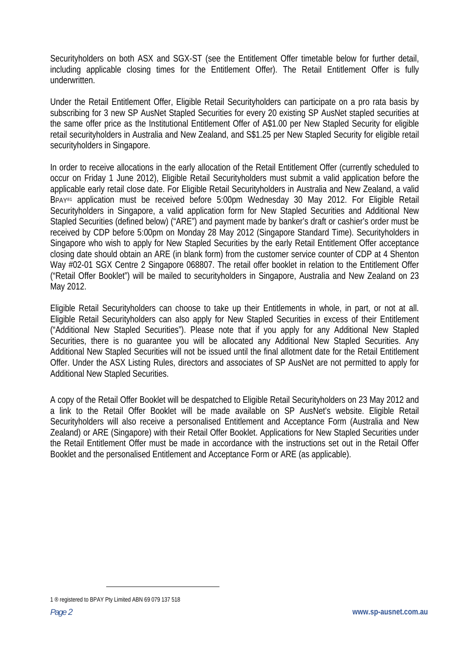Securityholders on both ASX and SGX-ST (see the Entitlement Offer timetable below for further detail, including applicable closing times for the Entitlement Offer). The Retail Entitlement Offer is fully underwritten.

Under the Retail Entitlement Offer, Eligible Retail Securityholders can participate on a pro rata basis by subscribing for 3 new SP AusNet Stapled Securities for every 20 existing SP AusNet stapled securities at the same offer price as the Institutional Entitlement Offer of A\$1.00 per New Stapled Security for eligible retail securityholders in Australia and New Zealand, and S\$1.25 per New Stapled Security for eligible retail securityholders in Singapore.

In order to receive allocations in the early allocation of the Retail Entitlement Offer (currently scheduled to occur on Friday 1 June 2012), Eligible Retail Securityholders must submit a valid application before the applicable early retail close date. For Eligible Retail Securityholders in Australia and New Zealand, a valid BPAY®1 application must be received before 5:00pm Wednesday 30 May 2012. For Eligible Retail Securityholders in Singapore, a valid application form for New Stapled Securities and Additional New Stapled Securities (defined below) ("ARE") and payment made by banker's draft or cashier's order must be received by CDP before 5:00pm on Monday 28 May 2012 (Singapore Standard Time). Securityholders in Singapore who wish to apply for New Stapled Securities by the early Retail Entitlement Offer acceptance closing date should obtain an ARE (in blank form) from the customer service counter of CDP at 4 Shenton Way #02-01 SGX Centre 2 Singapore 068807. The retail offer booklet in relation to the Entitlement Offer ("Retail Offer Booklet") will be mailed to securityholders in Singapore, Australia and New Zealand on 23 May 2012.

Eligible Retail Securityholders can choose to take up their Entitlements in whole, in part, or not at all. Eligible Retail Securityholders can also apply for New Stapled Securities in excess of their Entitlement ("Additional New Stapled Securities"). Please note that if you apply for any Additional New Stapled Securities, there is no quarantee you will be allocated any Additional New Stapled Securities. Any Additional New Stapled Securities will not be issued until the final allotment date for the Retail Entitlement Offer. Under the ASX Listing Rules, directors and associates of SP AusNet are not permitted to apply for Additional New Stapled Securities.

A copy of the Retail Offer Booklet will be despatched to Eligible Retail Securityholders on 23 May 2012 and a link to the Retail Offer Booklet will be made available on SP AusNet's website. Eligible Retail Securityholders will also receive a personalised Entitlement and Acceptance Form (Australia and New Zealand) or ARE (Singapore) with their Retail Offer Booklet. Applications for New Stapled Securities under the Retail Entitlement Offer must be made in accordance with the instructions set out in the Retail Offer Booklet and the personalised Entitlement and Acceptance Form or ARE (as applicable).

 $\overline{a}$ 

<sup>1 ®</sup> registered to BPAY Pty Limited ABN 69 079 137 518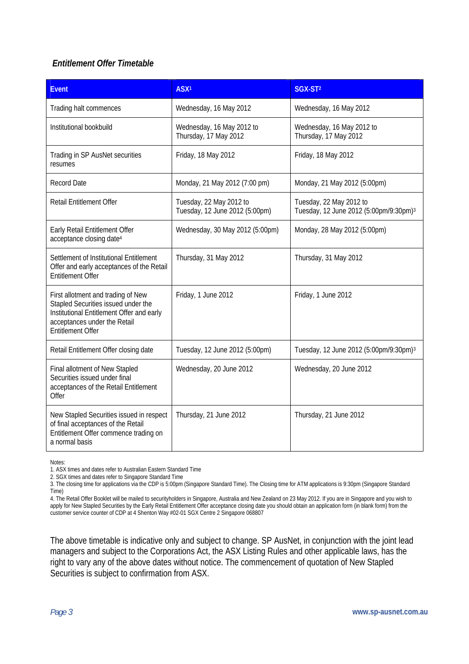## *Entitlement Offer Timetable*

| <b>Event</b>                                                                                                                                                                       | ASX <sup>1</sup>                                          | SGX-ST <sup>2</sup>                                                           |
|------------------------------------------------------------------------------------------------------------------------------------------------------------------------------------|-----------------------------------------------------------|-------------------------------------------------------------------------------|
| Trading halt commences                                                                                                                                                             | Wednesday, 16 May 2012                                    | Wednesday, 16 May 2012                                                        |
| Institutional bookbuild                                                                                                                                                            | Wednesday, 16 May 2012 to<br>Thursday, 17 May 2012        | Wednesday, 16 May 2012 to<br>Thursday, 17 May 2012                            |
| Trading in SP AusNet securities<br>resumes                                                                                                                                         | Friday, 18 May 2012                                       | Friday, 18 May 2012                                                           |
| <b>Record Date</b>                                                                                                                                                                 | Monday, 21 May 2012 (7:00 pm)                             | Monday, 21 May 2012 (5:00pm)                                                  |
| Retail Entitlement Offer                                                                                                                                                           | Tuesday, 22 May 2012 to<br>Tuesday, 12 June 2012 (5:00pm) | Tuesday, 22 May 2012 to<br>Tuesday, 12 June 2012 (5:00pm/9:30pm) <sup>3</sup> |
| Early Retail Entitlement Offer<br>acceptance closing date <sup>4</sup>                                                                                                             | Wednesday, 30 May 2012 (5:00pm)                           | Monday, 28 May 2012 (5:00pm)                                                  |
| Settlement of Institutional Entitlement<br>Offer and early acceptances of the Retail<br><b>Entitlement Offer</b>                                                                   | Thursday, 31 May 2012                                     | Thursday, 31 May 2012                                                         |
| First allotment and trading of New<br>Stapled Securities issued under the<br>Institutional Entitlement Offer and early<br>acceptances under the Retail<br><b>Entitlement Offer</b> | Friday, 1 June 2012                                       | Friday, 1 June 2012                                                           |
| Retail Entitlement Offer closing date                                                                                                                                              | Tuesday, 12 June 2012 (5:00pm)                            | Tuesday, 12 June 2012 (5:00pm/9:30pm) <sup>3</sup>                            |
| Final allotment of New Stapled<br>Securities issued under final<br>acceptances of the Retail Entitlement<br>Offer                                                                  | Wednesday, 20 June 2012                                   | Wednesday, 20 June 2012                                                       |
| New Stapled Securities issued in respect<br>of final acceptances of the Retail<br>Entitlement Offer commence trading on<br>a normal basis                                          | Thursday, 21 June 2012                                    | Thursday, 21 June 2012                                                        |

Notes:

2. SGX times and dates refer to Singapore Standard Time

3. The closing time for applications via the CDP is 5:00pm (Singapore Standard Time). The Closing time for ATM applications is 9:30pm (Singapore Standard Time)

4. The Retail Offer Booklet will be mailed to securityholders in Singapore, Australia and New Zealand on 23 May 2012. If you are in Singapore and you wish to apply for New Stapled Securities by the Early Retail Entitlement Offer acceptance closing date you should obtain an application form (in blank form) from the apply for New Stapled Securities by the Early Retail Entitlement customer service counter of CDP at 4 Shenton Way #02-01 SGX Centre 2 Singapore 068807

The above timetable is indicative only and subject to change. SP AusNet, in conjunction with the joint lead managers and subject to the Corporations Act, the ASX Listing Rules and other applicable laws, has the right to vary any of the above dates without notice. The commencement of quotation of New Stapled Securities is subject to confirmation from ASX.

<sup>1.</sup> ASX times and dates refer to Australian Eastern Standard Time